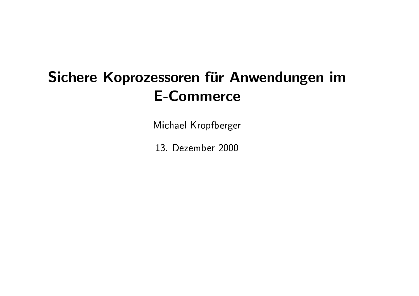# Sichere Koprozessoren für Anwendungen im **E-Commerce**

Michael Kropfberger

13. Dezember 2000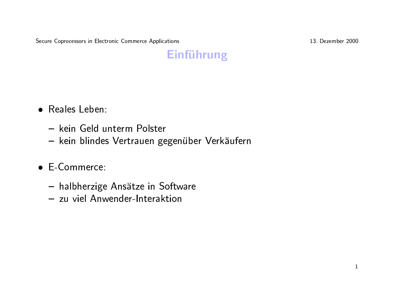13. Dezember 2000

# **Einführung**

- Reales Leben:
	- kein Geld unterm Polster
	- kein blindes Vertrauen gegenüber Verkäufern
- E-Commerce:
	- halbherzige Ansätze in Software
	- zu viel Anwender-Interaktion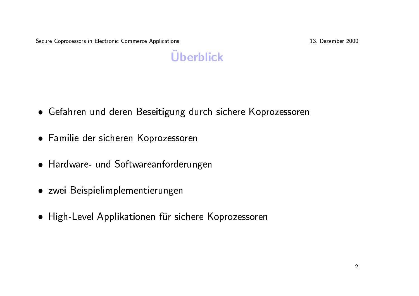13. Dezember 2000

# **Überblick**

- Gefahren und deren Beseitigung durch sichere Koprozessoren
- Familie der sicheren Koprozessoren
- Hardware- und Softwareanforderungen
- · zwei Beispielimplementierungen
- High-Level Applikationen für sichere Koprozessoren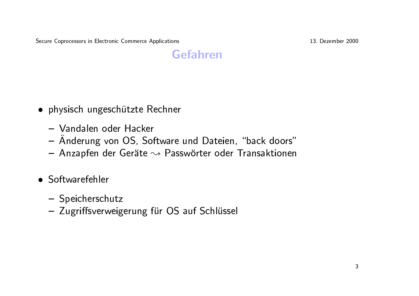13. Dezember 2000

#### **Gefahren**

- · physisch ungeschützte Rechner
	- Vandalen oder Hacker
	- Änderung von OS, Software und Dateien, "back doors"
	- Anzapfen der Geräte  $\rightsquigarrow$  Passwörter oder Transaktionen
- Softwarefehler
	- Speicherschutz
	- Zugriffsverweigerung für OS auf Schlüssel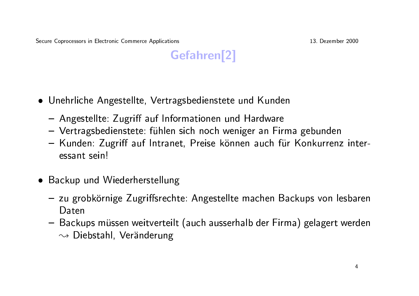

- Unehrliche Angestellte, Vertragsbedienstete und Kunden
	- Angestellte: Zugriff auf Informationen und Hardware
	- Vertragsbedienstete: fühlen sich noch weniger an Firma gebunden
	- Kunden: Zugriff auf Intranet, Preise können auch für Konkurrenz interessant sein!
- Backup und Wiederherstellung
	- zu grobkörnige Zugriffsrechte: Angestellte machen Backups von lesbaren Daten
	- Backups müssen weitverteilt (auch ausserhalb der Firma) gelagert werden  $\rightsquigarrow$  Diebstahl, Veränderung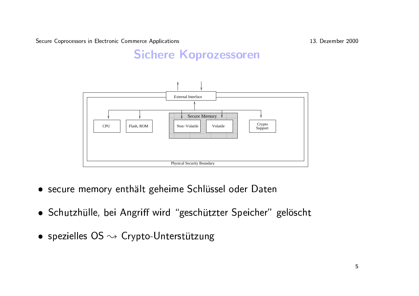13. Dezember 2000

#### **Sichere Koprozessoren**



- secure memory enthält geheime Schlüssel oder Daten
- · Schutzhülle, bei Angriff wird "geschützter Speicher" gelöscht
- spezielles OS  $\rightsquigarrow$  Crypto-Unterstützung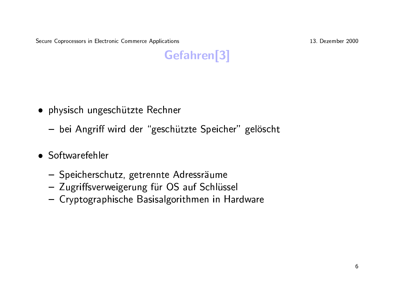13. Dezember 2000

# Gefahren<sup>[3]</sup>

- · physisch ungeschützte Rechner
	- bei Angriff wird der "geschützte Speicher" gelöscht
- Softwarefehler
	- Speicherschutz, getrennte Adressräume
	- Zugriffsverweigerung für OS auf Schlüssel
	- Cryptographische Basisalgorithmen in Hardware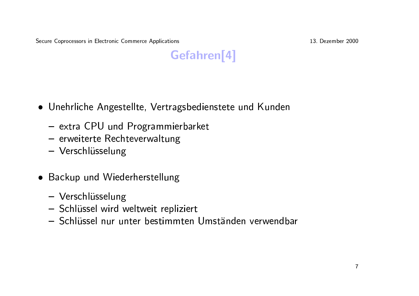13. Dezember 2000



- Unehrliche Angestellte, Vertragsbedienstete und Kunden
	- extra CPU und Programmierbarket
	- erweiterte Rechteverwaltung
	- Verschlüsselung
- Backup und Wiederherstellung
	- Verschlüsselung
	- Schlüssel wird weltweit repliziert
	- Schlüssel nur unter bestimmten Umständen verwendbar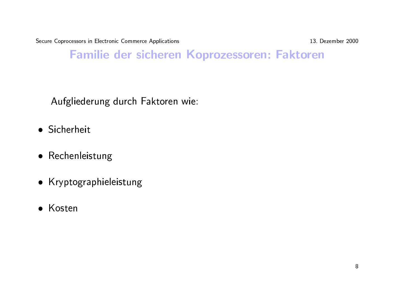13. Dezember 2000

#### Familie der sicheren Koprozessoren: Faktoren

Aufgliederung durch Faktoren wie:

- · Sicherheit
- Rechenleistung
- Kryptographieleistung
- Kosten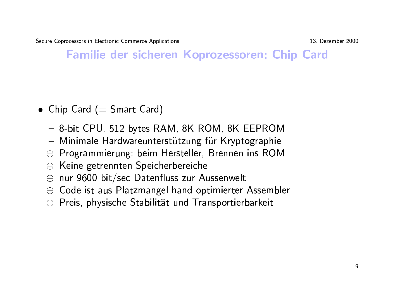13. Dezember 2000

**Familie der sicheren Koprozessoren: Chip Card** 

- Chip Card (= Smart Card)
	- 8-bit CPU, 512 bytes RAM, 8K ROM, 8K EEPROM
	- Minimale Hardwareunterstützung für Kryptographie
	- $\ominus$  Programmierung: beim Hersteller, Brennen ins ROM
	- $\ominus$  Keine getrennten Speicherbereiche
	- $\ominus$  nur 9600 bit/sec Datenfluss zur Aussenwelt
	- $\Theta$  Code ist aus Platzmangel hand-optimierter Assembler
	- $\oplus$  Preis, physische Stabilität und Transportierbarkeit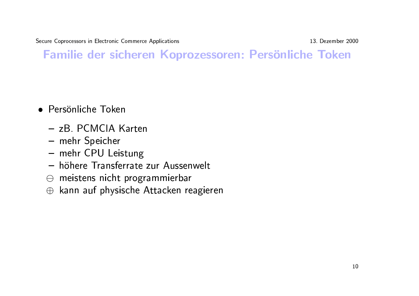13. Dezember 2000

#### Familie der sicheren Koprozessoren: Persönliche Token

- Persönliche Token
	- zB. PCMCIA Karten
	- mehr Speicher
	- mehr CPU Leistung
	- höhere Transferrate zur Aussenwelt
	- $\ominus$  meistens nicht programmierbar
	- $\oplus$  kann auf physische Attacken reagieren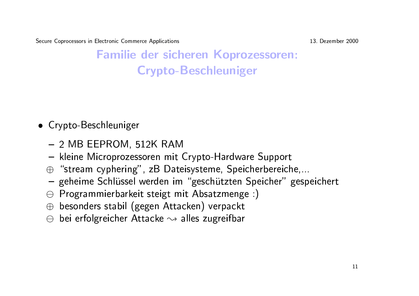13. Dezember 2000

# **Familie der sicheren Koprozessoren: Crypto-Beschleuniger**

- Crypto-Beschleuniger
	- $-2$  MB EEPROM, 512K RAM
	- kleine Microprozessoren mit Crypto-Hardware Support
	- $\oplus$  "stream cyphering", zB Dateisysteme, Speicherbereiche,...
	- geheime Schlüssel werden im "geschützten Speicher" gespeichert
	- $\Theta$  Programmierbarkeit steigt mit Absatzmenge :)
	- $\oplus$  besonders stabil (gegen Attacken) verpackt
	- $\ominus$  bei erfolgreicher Attacke  $\rightsquigarrow$  alles zugreifbar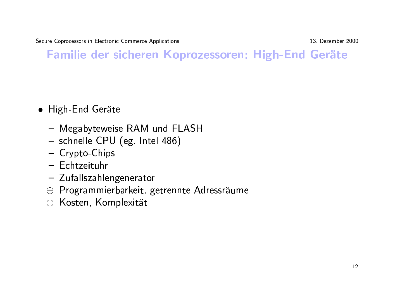13. Dezember 2000

# Familie der sicheren Koprozessoren: High-End Geräte

- · High-End Geräte
	- Megabyteweise RAM und FLASH
	- schnelle CPU (eg. Intel 486)
	- Crypto-Chips
	- Echtzeituhr
	- Zufallszahlengenerator
	- ⊕ Programmierbarkeit, getrennte Adressräume
	- $\ominus$  Kosten, Komplexität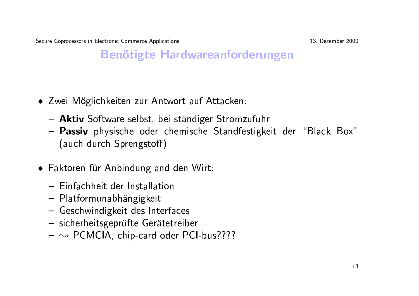13. Dezember 2000

#### **Benötigte Hardwareanforderungen**

- Zwei Möglichkeiten zur Antwort auf Attacken:
	- Aktiv Software selbst, bei ständiger Stromzufuhr
	- Passiv physische oder chemische Standfestigkeit der "Black Box" (auch durch Sprengstoff)
- Faktoren für Anbindung and den Wirt:
	- Finfachheit der Installation
	- Platformunabhängigkeit
	- Geschwindigkeit des Interfaces
	- sicherheitsgeprüfte Gerätetreiber
	- $-\sim$  PCMCIA, chip-card oder PCI-bus????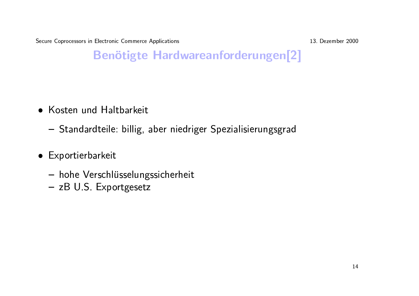13. Dezember 2000

# Benötigte Hardwareanforderungen[2]

- Kosten und Haltbarkeit
	- Standardteile: billig, aber niedriger Spezialisierungsgrad
- Exportierbarkeit
	- hohe Verschlüsselungssicherheit
	- zB U.S. Exportgesetz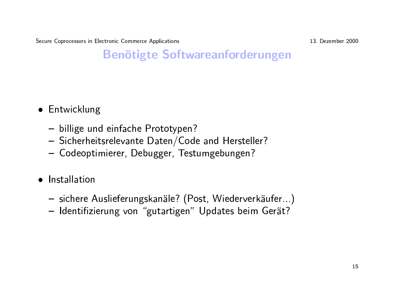13. Dezember 2000

# **Benötigte Softwareanforderungen**

- Entwicklung
	- billige und einfache Prototypen?
	- Sicherheitsrelevante Daten/Code and Hersteller?
	- Codeoptimierer, Debugger, Testumgebungen?
- · Installation
	- sichere Auslieferungskanäle? (Post, Wiederverkäufer...)
	- Identifizierung von "gutartigen" Updates beim Gerät?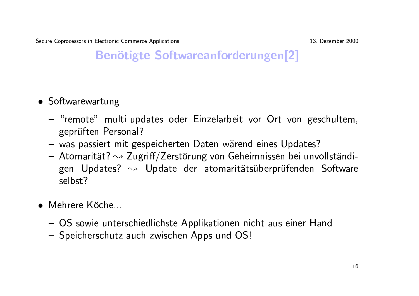13. Dezember 2000

# **Benötigte Softwareanforderungen[2]**

- Softwarewartung
	- "remote" multi-updates oder Einzelarbeit vor Ort von geschultem, geprüften Personal?
	- was passiert mit gespeicherten Daten wärend eines Updates?
	- Atomarität?  $\rightsquigarrow$  Zugriff/Zerstörung von Geheimnissen bei unvollständigen Updates?  $\rightsquigarrow$  Update der atomaritätsüberprüfenden Software selbst?
- $\bullet$  Mehrere Köche
	- OS sowie unterschiedlichste Applikationen nicht aus einer Hand
	- Speicherschutz auch zwischen Apps und OS!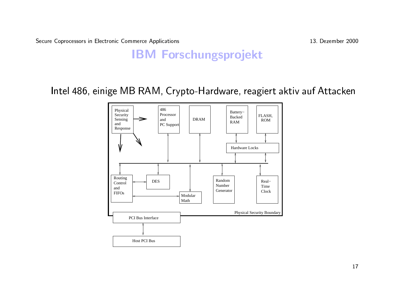13. Dezember 2000

#### **IBM Forschungsprojekt**

Intel 486, einige MB RAM, Crypto-Hardware, reagiert aktiv auf Attacken

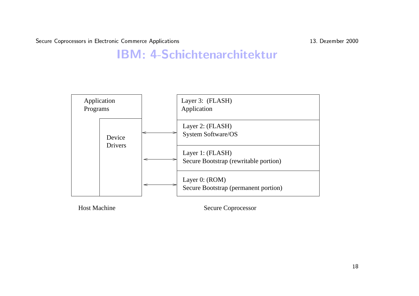-- - -- - 

s<br>13. Dezember 200

# Exammerce Applications<br> **BM: 4-Schichtenarchitektu**



Host Machine Secure Coprocessor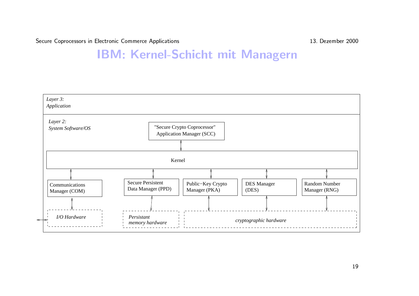-- - -- - 

s<br>13. Dezember 200

# **Mectronic Commerce Applications**<br> **TRA: Kernel-Schicht mit Manage**

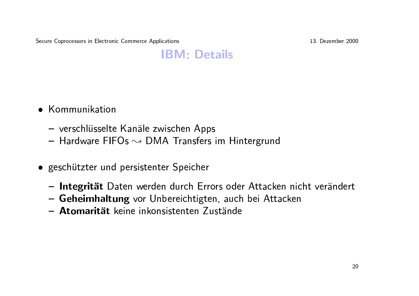13. Dezember 2000

#### **IBM: Details**

- Kommunikation
	- verschlüsselte Kanäle zwischen Apps
	- $-$  Hardware FIFOs  $\sim$  DMA Transfers im Hintergrund
- · geschützter und persistenter Speicher
	- Integrität Daten werden durch Errors oder Attacken nicht verändert
	- Geheimhaltung vor Unbereichtigten, auch bei Attacken
	- Atomarität keine inkonsistenten Zustände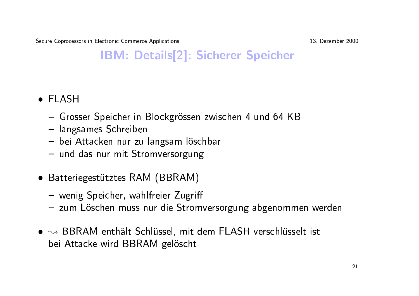13. Dezember 2000

# **IBM: Details[2]: Sicherer Speicher**

- $\bullet$  FI ASH
	- Grosser Speicher in Blockgrössen zwischen 4 und 64 KB
	- langsames Schreiben
	- bei Attacken nur zu langsam löschbar
	- und das nur mit Stromversorgung
- Batteriegestütztes RAM (BBRAM)
	- wenig Speicher, wahlfreier Zugriff
	- zum Löschen muss nur die Stromversorgung abgenommen werden
- $\bullet \rightsquigarrow$  BBRAM enthält Schlüssel, mit dem FLASH verschlüsselt ist bei Attacke wird BBRAM gelöscht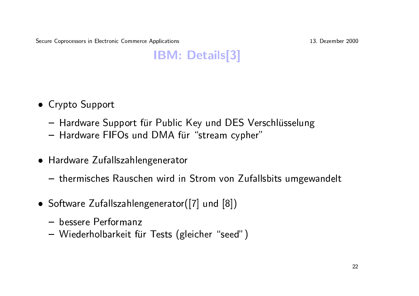13. Dezember 2000

# **IBM: Details[3]**

- Crypto Support
	- Hardware Support für Public Key und DES Verschlüsselung
	- Hardware FIFOs und DMA für "stream cypher"
- Hardware Zufallszahlengenerator
	- thermisches Rauschen wird in Strom von Zufallsbits umgewandelt
- Software Zufallszahlengenerator([7] und [8])
	- bessere Performanz
	- Wiederholbarkeit für Tests (gleicher "seed")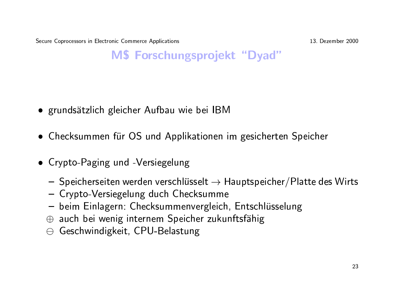13. Dezember 2000

#### M\$ Forschungsprojekt "Dyad"

- grundsätzlich gleicher Aufbau wie bei IBM
- Checksummen für OS und Applikationen im gesicherten Speicher
- Crypto-Paging und -Versiegelung
	- Speicherseiten werden verschlüsselt  $\rightarrow$  Hauptspeicher/Platte des Wirts
	- Crypto-Versiegelung duch Checksumme
	- beim Einlagern: Checksummenvergleich, Entschlüsselung
	- $\oplus$  auch bei wenig internem Speicher zukunftsfähig
	- $\ominus$  Geschwindigkeit, CPU-Belastung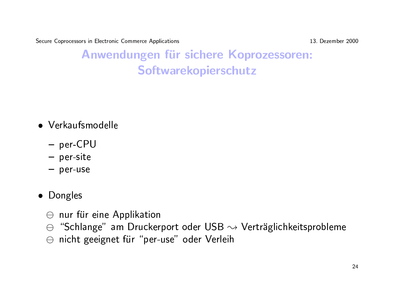13. Dezember 2000

# Anwendungen für sichere Koprozessoren: Softwarekopierschutz

- Verkaufsmodelle
	- per-CPU
	- $-$  per-site
	- $-$  per-use
- Dongles
	- $\ominus$  nur für eine Applikation
	- $\Theta$  "Schlange" am Druckerport oder USB  $\rightsquigarrow$  Verträglichkeitsprobleme
	- ⊖ nicht geeignet für "per-use" oder Verleih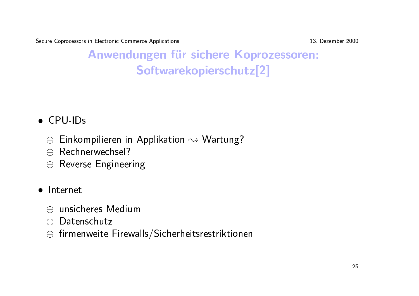13. Dezember 2000

# Anwendungen für sichere Koprozessoren: Softwarekopierschutz<sup>[2]</sup>

#### $\bullet$  CPU-IDs

- $\Theta$  Einkompilieren in Applikation  $\rightsquigarrow$  Wartung?
- $\ominus$  Rechnerwechsel?
- $\ominus$  Reverse Engineering

#### • Internet

- $\ominus$  unsicheres Medium
- $\ominus$  Datenschutz
- $\Theta$  firmenweite Firewalls/Sicherheitsrestriktionen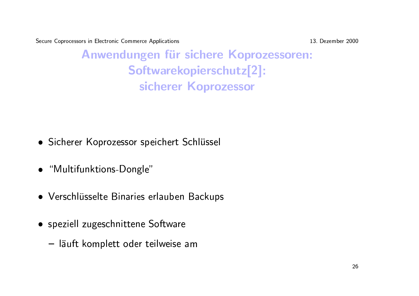13. Dezember 2000

Anwendungen für sichere Koprozessoren: Softwarekopierschutz[2]: sicherer Koprozessor

- Sicherer Koprozessor speichert Schlüssel
- "Multifunktions-Dongle"
- Verschlüsselte Binaries erlauben Backups
- speziell zugeschnittene Software
	- läuft komplett oder teilweise am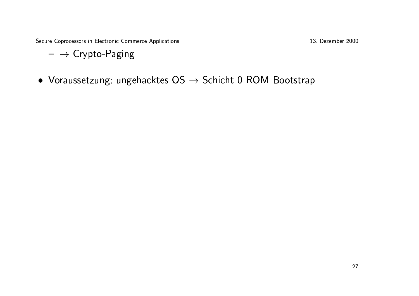- $\rightarrow$  Crypto-Paging
- Voraussetzung: ungehacktes  $OS \rightarrow$  Schicht 0 ROM Bootstrap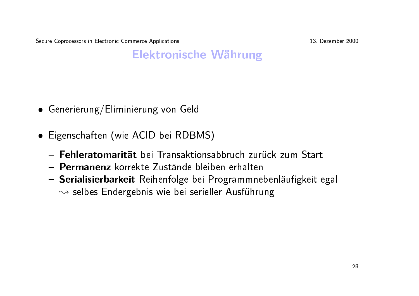13. Dezember 2000

#### **Elektronische Währung**

- Generierung/Eliminierung von Geld
- Eigenschaften (wie ACID bei RDBMS)
	- Fehleratomarität bei Transaktionsabbruch zurück zum Start
	- Permanenz korrekte Zustände bleiben erhalten
	- Serialisierbarkeit Reihenfolge bei Programmnebenläufigkeit egal  $\rightsquigarrow$  selbes Endergebnis wie bei serieller Ausführung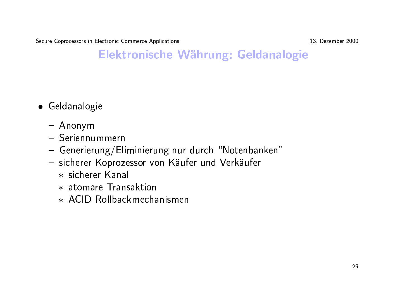13. Dezember 2000

#### Elektronische Währung: Geldanalogie

- Geldanalogie
	- $-$  Anonym
	- Seriennummern
	- Generierung/Eliminierung nur durch "Notenbanken"
	- sicherer Koprozessor von Käufer und Verkäufer
		- \* sicherer Kanal
		- \* atomare Transaktion
		- \* ACID Rollbackmechanismen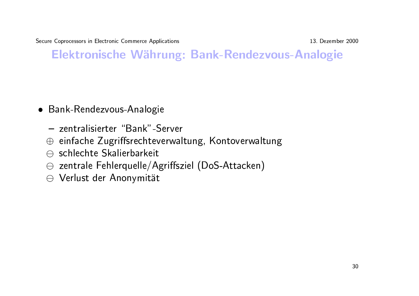13. Dezember 2000

### Elektronische Währung: Bank-Rendezvous-Analogie

- Bank-Rendezvous-Analogie
	- zentralisierter "Bank"-Server
	- ⊕ einfache Zugriffsrechteverwaltung, Kontoverwaltung
	- $\ominus$  schlechte Skalierbarkeit
	- $\ominus$  zentrale Fehlerquelle/Agriffsziel (DoS-Attacken)
	- ⊖ Verlust der Anonymität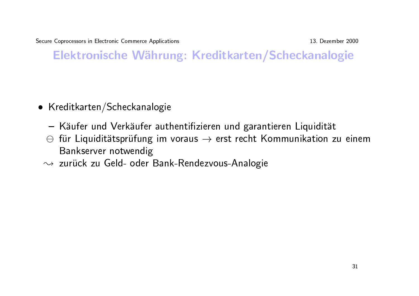13. Dezember 2000

Elektronische Währung: Kreditkarten/Scheckanalogie

- Kreditkarten/Scheckanalogie
	- Käufer und Verkäufer authentifizieren und garantieren Liquidität
	- $\ominus$  für Liquiditätsprüfung im voraus  $\rightarrow$  erst recht Kommunikation zu einem Bankserver notwendig
	- ~> zurück zu Geld- oder Bank-Rendezvous-Analogie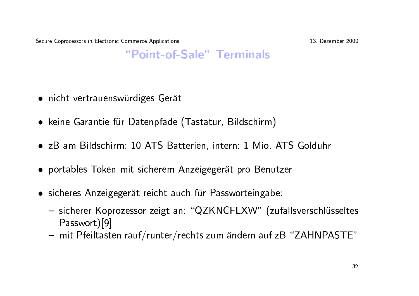13. Dezember 2000

#### "Point-of-Sale" Terminals

- · nicht vertrauenswürdiges Gerät
- keine Garantie für Datenpfade (Tastatur, Bildschirm)
- zB am Bildschirm: 10 ATS Batterien, intern: 1 Mio. ATS Golduhr
- portables Token mit sicherem Anzeigegerät pro Benutzer
- sicheres Anzeigegerät reicht auch für Passworteingabe:
	- sicherer Koprozessor zeigt an: "QZKNCFLXW" (zufallsverschlüsseltes Passwort)[9]
	- mit Pfeiltasten rauf/runter/rechts zum ändern auf zB "ZAHNPASTE"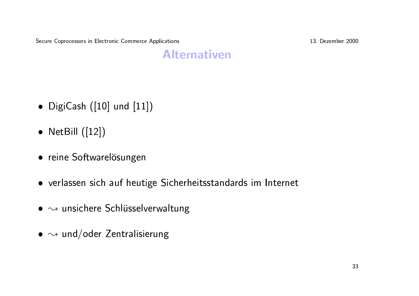13. Dezember 2000

#### **Alternativen**

- DigiCash  $([10]$  und  $[11])$
- NetBill  $([12])$
- reine Softwarelösungen
- verlassen sich auf heutige Sicherheitsstandards im Internet
- $\bullet \rightsquigarrow$  unsichere Schlüsselverwaltung
- $\bullet \rightsquigarrow$  und/oder Zentralisierung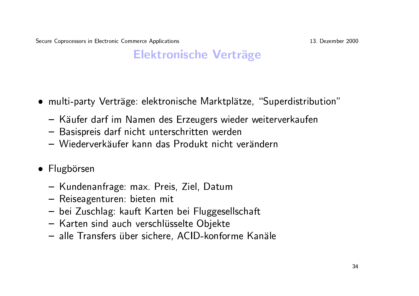#### **Elektronische Verträge**

- multi-party Verträge: elektronische Marktplätze, "Superdistribution"
	- Käufer darf im Namen des Erzeugers wieder weiterverkaufen
	- Basispreis darf nicht unterschritten werden
	- Wiederverkäufer kann das Produkt nicht verändern
- Flugbörsen
	- Kundenanfrage: max. Preis, Ziel, Datum
	- Reiseagenturen: bieten mit
	- bei Zuschlag: kauft Karten bei Fluggesellschaft
	- Karten sind auch verschlüsselte Objekte
	- alle Transfers über sichere, ACID-konforme Kanäle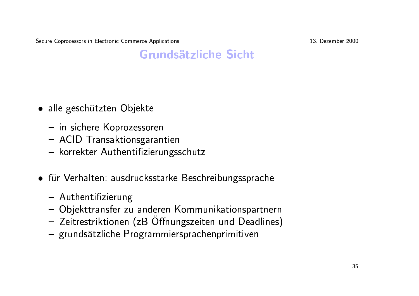13. Dezember 2000

#### **Grundsätzliche Sicht**

- alle geschützten Objekte
	- in sichere Koprozessoren
	- ACID Transaktionsgarantien
	- korrekter Authentifizierungsschutz
- für Verhalten: ausdrucksstarke Beschreibungssprache
	- Authentifizierung
	- Objekttransfer zu anderen Kommunikationspartnern
	- Zeitrestriktionen (zB Öffnungszeiten und Deadlines)
	- grundsätzliche Programmiersprachenprimitiven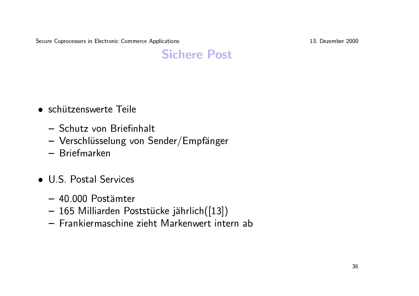13. Dezember 2000

### **Sichere Post**

- schützenswerte Teile
	- Schutz von Briefinhalt
	- Verschlüsselung von Sender/Empfänger
	- Briefmarken
- U.S. Postal Services
	- 40.000 Postämter
	- 165 Milliarden Poststücke jährlich([13])
	- Frankiermaschine zieht Markenwert intern ab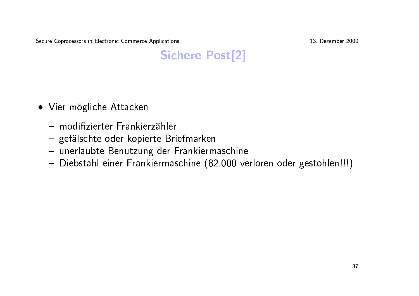13. Dezember 2000

# **Sichere Post[2]**

- Vier mögliche Attacken
	- modifizierter Frankierzähler
	- gefälschte oder kopierte Briefmarken
	- unerlaubte Benutzung der Frankiermaschine
	- Diebstahl einer Frankiermaschine (82.000 verloren oder gestohlen!!!)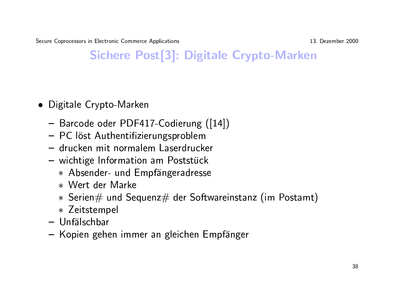13. Dezember 2000

# Sichere Post[3]: Digitale Crypto-Marken

- Digitale Crypto-Marken
	- Barcode oder PDF417-Codierung ([14])
	- PC löst Authentifizierungsproblem
	- drucken mit normalem Laserdrucker
	- wichtige Information am Poststück
		- \* Absender- und Empfängeradresse
		- \* Wert der Marke
		- $*$  Serien $\#$  und Sequenz $\#$  der Softwareinstanz (im Postamt)
		- \* Zeitstempel
	- Unfälschbar
	- Kopien gehen immer an gleichen Empfänger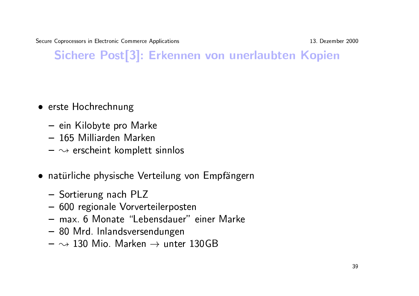13. Dezember 2000

# Sichere Post[3]: Erkennen von unerlaubten Kopien

- erste Hochrechnung
	- ein Kilobyte pro Marke
	- 165 Milliarden Marken
	- $-\infty$  erscheint komplett sinnlos
- natürliche physische Verteilung von Empfängern
	- Sortierung nach PLZ
	- 600 regionale Vorverteilerposten
	- max. 6 Monate "Lebensdauer" einer Marke
	- 80 Mrd. Inlandsversendungen
	- $\rightsquigarrow$  130 Mio. Marken  $\rightarrow$  unter 130GB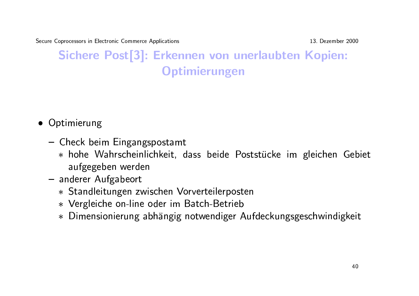-- - -- - 

s<br>13. Dezember 200

# pprocessors in Electronic Commerce Applications<br>
Sichere Post[3]: Erkennen von unerlaubten Kopien: #%\$ **Optimierungen** von<br>ung

- Optimierun<br>● Optimierun
	- G  $-$  Check beim Eingangspostamt
- vtimierung<br>Check beim Eingangspostamt<br>\* hohe Wahrscheinlichkeit, dass beide Poststücke im gleichen Gebie pumierung<br>Check beim Eingan<br>\* hohe Wahrscheir<br>aufgegeben werd<br>anderer Aufgabeort ass beide <mark>Pc</mark><br>rverteilerpost
	- G
	- \* Standleitungen zwischen Vorverteilerposten aufgegeben werden<br>- anderer Aufgabeort<br>\* Standleitungen zwischen Vorverteilerpost<br>\* Vergleiche on-line oder im Batch-Betrieb
		-
		- \* Dimensionierung abhängig notwendiger Aufdeckungsgeschwindigkeit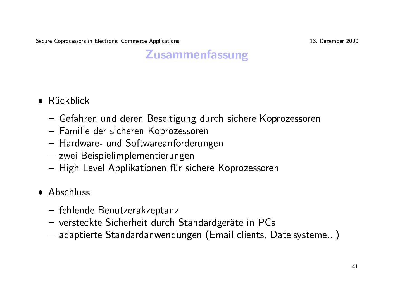#### **Zusammenfassung**

- $\bullet$  Rückblick
	- Gefahren und deren Beseitigung durch sichere Koprozessoren
	- Familie der sicheren Koprozessoren
	- Hardware- und Softwareanforderungen
	- zwei Beispielimplementierungen
	- High-Level Applikationen für sichere Koprozessoren

#### • Abschluss

- fehlende Benutzerakzeptanz
- versteckte Sicherheit durch Standardgeräte in PCs
- adaptierte Standardanwendungen (Email clients, Dateisysteme...)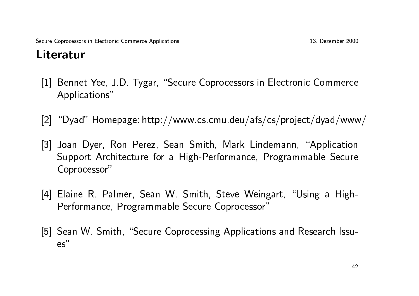# Literatur

- [1] Bennet Yee, J.D. Tygar, "Secure Coprocessors in Electronic Commerce Applications"
- [2] "Dyad" Homepage: http://www.cs.cmu.deu/afs/cs/project/dyad/www/
- [3] Joan Dyer, Ron Perez, Sean Smith, Mark Lindemann, "Application Support Architecture for a High-Performance, Programmable Secure Coprocessor"
- [4] Elaine R. Palmer, Sean W. Smith, Steve Weingart, "Using a High-Performance, Programmable Secure Coprocessor"
- [5] Sean W. Smith, "Secure Coprocessing Applications and Research Issu $es''$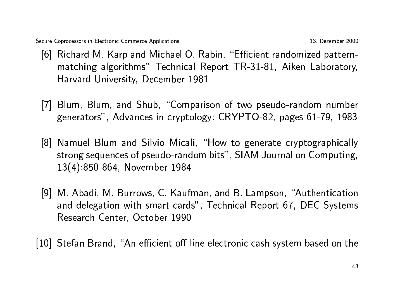- [6] Richard M. Karp and Michael O. Rabin, "Efficient randomized patternmatching algorithms" Technical Report TR-31-81, Aiken Laboratory, Harvard University, December 1981
- [7] Blum, Blum, and Shub, "Comparison of two pseudo-random number generators", Advances in cryptology: CRYPTO-82, pages 61-79, 1983
- [8] Namuel Blum and Silvio Micali, "How to generate cryptographically strong sequences of pseudo-random bits", SIAM Journal on Computing, 13(4):850-864, November 1984
- [9] M. Abadi, M. Burrows, C. Kaufman, and B. Lampson, "Authentication and delegation with smart-cards", Technical Report 67, DEC Systems Research Center, October 1990

[10] Stefan Brand, "An efficient off-line electronic cash system based on the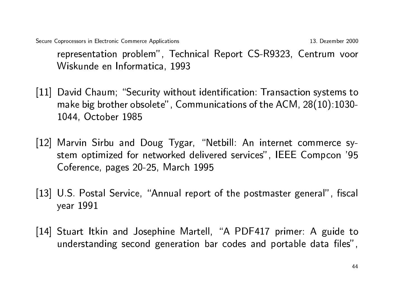13. Dezember 2000 Secure Coprocessors in Electronic Commerce Applications representation problem", Technical Report CS-R9323, Centrum voor Wiskunde en Informatica, 1993

- [11] David Chaum; "Security without identification: Transaction systems to make big brother obsolete", Communications of the ACM, 28(10):1030-1044, October 1985
- [12] Marvin Sirbu and Doug Tygar, "Netbill: An internet commerce system optimized for networked delivered services", IEEE Compcon '95 Coference, pages 20-25, March 1995
- [13] U.S. Postal Service, "Annual report of the postmaster general", fiscal year 1991
- [14] Stuart Itkin and Josephine Martell, "A PDF417 primer: A guide to understanding second generation bar codes and portable data files",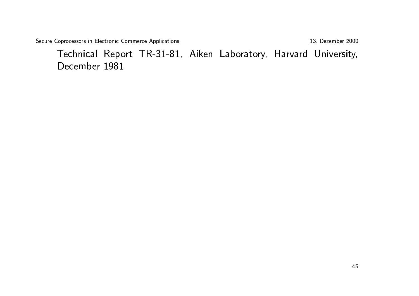13. Dezember 2000

Technical Report TR-31-81, Aiken Laboratory, Harvard University, December 1981